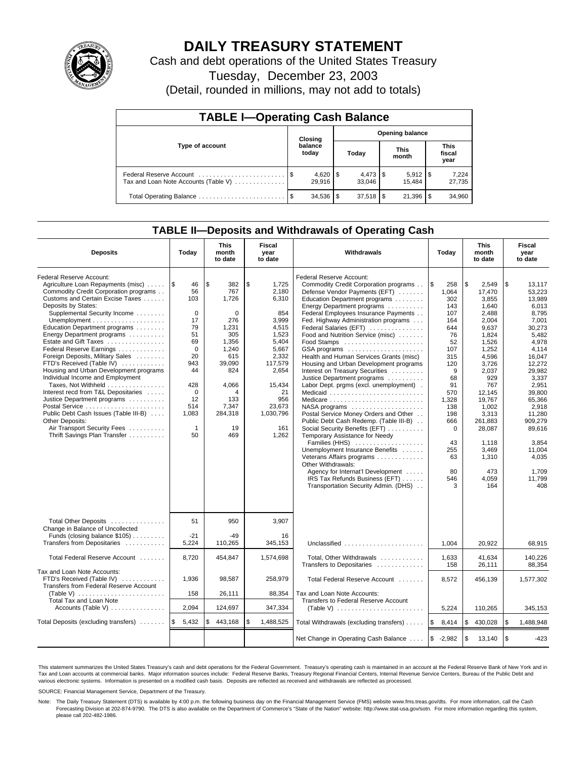

# **DAILY TREASURY STATEMENT**

Cash and debt operations of the United States Treasury

Tuesday, December 23, 2003

(Detail, rounded in millions, may not add to totals)

| <b>TABLE I-Operating Cash Balance</b> |                                   |                  |      |              |  |                      |  |                               |  |  |
|---------------------------------------|-----------------------------------|------------------|------|--------------|--|----------------------|--|-------------------------------|--|--|
|                                       | <b>Opening balance</b><br>Closing |                  |      |              |  |                      |  |                               |  |  |
| Type of account                       |                                   | balance<br>today |      | Today        |  | <b>This</b><br>month |  | <b>This</b><br>fiscal<br>year |  |  |
| Tax and Loan Note Accounts (Table V)  |                                   | 29.916           |      | 33.046       |  | 15.484               |  | 7,224<br>27,735               |  |  |
|                                       |                                   | 34,536           | l \$ | $37,518$ \\$ |  | 21,396               |  | 34,960                        |  |  |

## **TABLE II—Deposits and Withdrawals of Operating Cash**

| <b>Deposits</b>                                                                                                                                                                                                                                                                                                                                                                                                                                                                                                                                                                                                                                                                                     | Today                                                                                                                                                   | <b>This</b><br>month<br>to date                                                                                                                       | Fiscal<br>year<br>to date                                                                                                                                                    | Withdrawals                                                                                                                                                                                                                                                                                                                                                                                                                                                                                                                                                                                                                                                                                                                                                                                                                                                                                                                                                                                                     | Today                                                                                                                                                                                          | <b>This</b><br>month<br>to date                                                                                                                                                                                                                     | Fiscal<br>year<br>to date                                                                                                                                                                                                                                          |
|-----------------------------------------------------------------------------------------------------------------------------------------------------------------------------------------------------------------------------------------------------------------------------------------------------------------------------------------------------------------------------------------------------------------------------------------------------------------------------------------------------------------------------------------------------------------------------------------------------------------------------------------------------------------------------------------------------|---------------------------------------------------------------------------------------------------------------------------------------------------------|-------------------------------------------------------------------------------------------------------------------------------------------------------|------------------------------------------------------------------------------------------------------------------------------------------------------------------------------|-----------------------------------------------------------------------------------------------------------------------------------------------------------------------------------------------------------------------------------------------------------------------------------------------------------------------------------------------------------------------------------------------------------------------------------------------------------------------------------------------------------------------------------------------------------------------------------------------------------------------------------------------------------------------------------------------------------------------------------------------------------------------------------------------------------------------------------------------------------------------------------------------------------------------------------------------------------------------------------------------------------------|------------------------------------------------------------------------------------------------------------------------------------------------------------------------------------------------|-----------------------------------------------------------------------------------------------------------------------------------------------------------------------------------------------------------------------------------------------------|--------------------------------------------------------------------------------------------------------------------------------------------------------------------------------------------------------------------------------------------------------------------|
| Federal Reserve Account:<br>Agriculture Loan Repayments (misc)    \$<br>Commodity Credit Corporation programs<br>Customs and Certain Excise Taxes<br>Deposits by States:<br>Supplemental Security Income<br>Education Department programs<br>Energy Department programs<br>Estate and Gift Taxes<br>Federal Reserve Earnings<br>Foreign Deposits, Military Sales<br>FTD's Received (Table IV)<br>Housing and Urban Development programs<br>Individual Income and Employment<br>Taxes, Not Withheld<br>Interest recd from T&L Depositaries<br>Justice Department programs<br>Public Debt Cash Issues (Table III-B)<br>Other Deposits:<br>Air Transport Security Fees<br>Thrift Savings Plan Transfer | 46<br>56<br>103<br>$\mathbf 0$<br>17<br>79<br>51<br>69<br>$\Omega$<br>20<br>943<br>44<br>428<br>$\mathbf 0$<br>12<br>514<br>1,083<br>$\mathbf{1}$<br>50 | \$<br>382<br>767<br>1.726<br>0<br>276<br>1,231<br>305<br>1.356<br>1,240<br>615<br>39,090<br>824<br>4,066<br>4<br>133<br>7,347<br>284,318<br>19<br>469 | \$<br>1,725<br>2,180<br>6,310<br>854<br>3.999<br>4,515<br>1,523<br>5.404<br>5,667<br>2,332<br>117,579<br>2,654<br>15,434<br>21<br>956<br>23,673<br>1,030,796<br>161<br>1,262 | Federal Reserve Account:<br>Commodity Credit Corporation programs<br>Defense Vendor Payments (EFT)<br>Education Department programs<br>Energy Department programs<br>Federal Employees Insurance Payments<br>Fed. Highway Administration programs<br>Federal Salaries (EFT)<br>Food and Nutrition Service (misc)<br>Food Stamps<br>GSA programs<br>Health and Human Services Grants (misc)<br>Housing and Urban Development programs<br>Interest on Treasury Securities<br>Justice Department programs<br>Labor Dept. prgms (excl. unemployment).<br>Medicaid<br>Medicare<br>$NASA$ programs $\ldots \ldots \ldots \ldots \ldots$<br>Postal Service Money Orders and Other<br>Public Debt Cash Redemp. (Table III-B)<br>Social Security Benefits (EFT)<br>Temporary Assistance for Needy<br>Families (HHS)<br>Unemployment Insurance Benefits<br>Veterans Affairs programs<br>Other Withdrawals:<br>Agency for Internat'l Development<br>IRS Tax Refunds Business (EFT)<br>Transportation Security Admin. (DHS) | l\$<br>258<br>1.064<br>302<br>143<br>107<br>164<br>644<br>76<br>52<br>107<br>315<br>120<br>9<br>68<br>91<br>570<br>1,328<br>138<br>198<br>666<br>$\Omega$<br>43<br>255<br>63<br>80<br>546<br>3 | \$<br>2,549<br>17,470<br>3.855<br>1,640<br>2.488<br>2,004<br>9,637<br>1,824<br>1.526<br>1,252<br>4,596<br>3.726<br>2,037<br>929<br>767<br>12.145<br>19,767<br>1,002<br>3,313<br>261,883<br>28,087<br>1.118<br>3,469<br>1,310<br>473<br>4,059<br>164 | \$<br>13,117<br>53.223<br>13.989<br>6,013<br>8,795<br>7,001<br>30,273<br>5,482<br>4.978<br>4.114<br>16,047<br>12.272<br>29.982<br>3,337<br>2,951<br>39.800<br>65.366<br>2,918<br>11,280<br>909,279<br>89,616<br>3.854<br>11,004<br>4,035<br>1,709<br>11,799<br>408 |
| Total Other Deposits<br>Change in Balance of Uncollected<br>Funds (closing balance \$105)<br>Transfers from Depositaries                                                                                                                                                                                                                                                                                                                                                                                                                                                                                                                                                                            | 51<br>$-21$<br>5.224                                                                                                                                    | 950<br>$-49$<br>110,265                                                                                                                               | 3,907<br>16<br>345.153                                                                                                                                                       | Unclassified                                                                                                                                                                                                                                                                                                                                                                                                                                                                                                                                                                                                                                                                                                                                                                                                                                                                                                                                                                                                    | 1.004                                                                                                                                                                                          | 20.922                                                                                                                                                                                                                                              | 68.915                                                                                                                                                                                                                                                             |
| Total Federal Reserve Account                                                                                                                                                                                                                                                                                                                                                                                                                                                                                                                                                                                                                                                                       | 8,720                                                                                                                                                   | 454,847                                                                                                                                               | 1,574,698                                                                                                                                                                    | Total, Other Withdrawals                                                                                                                                                                                                                                                                                                                                                                                                                                                                                                                                                                                                                                                                                                                                                                                                                                                                                                                                                                                        | 1,633                                                                                                                                                                                          | 41,634                                                                                                                                                                                                                                              | 140,226                                                                                                                                                                                                                                                            |
| Tax and Loan Note Accounts:<br>FTD's Received (Table IV)<br>Transfers from Federal Reserve Account<br>(Table V) $\ldots \ldots \ldots \ldots \ldots \ldots \ldots$<br><b>Total Tax and Loan Note</b>                                                                                                                                                                                                                                                                                                                                                                                                                                                                                                | 1,936<br>158                                                                                                                                            | 98,587<br>26,111                                                                                                                                      | 258,979<br>88,354                                                                                                                                                            | Transfers to Depositaries<br>Total Federal Reserve Account<br>Tax and Loan Note Accounts:<br>Transfers to Federal Reserve Account                                                                                                                                                                                                                                                                                                                                                                                                                                                                                                                                                                                                                                                                                                                                                                                                                                                                               | 158<br>8,572                                                                                                                                                                                   | 26,111<br>456,139                                                                                                                                                                                                                                   | 88.354<br>1,577,302                                                                                                                                                                                                                                                |
| Accounts (Table V)                                                                                                                                                                                                                                                                                                                                                                                                                                                                                                                                                                                                                                                                                  | 2,094                                                                                                                                                   | 124,697                                                                                                                                               | 347,334                                                                                                                                                                      | (Table V) $\ldots \ldots \ldots \ldots \ldots \ldots \ldots$                                                                                                                                                                                                                                                                                                                                                                                                                                                                                                                                                                                                                                                                                                                                                                                                                                                                                                                                                    | 5,224                                                                                                                                                                                          | 110,265                                                                                                                                                                                                                                             | 345,153                                                                                                                                                                                                                                                            |
| Total Deposits (excluding transfers)                                                                                                                                                                                                                                                                                                                                                                                                                                                                                                                                                                                                                                                                | l \$<br>5,432                                                                                                                                           | 443,168<br>\$                                                                                                                                         | \$<br>1,488,525                                                                                                                                                              | Total Withdrawals (excluding transfers)                                                                                                                                                                                                                                                                                                                                                                                                                                                                                                                                                                                                                                                                                                                                                                                                                                                                                                                                                                         | <b>S</b><br>8,414                                                                                                                                                                              | <b>S</b><br>430,028                                                                                                                                                                                                                                 | \$<br>1,488,948                                                                                                                                                                                                                                                    |
|                                                                                                                                                                                                                                                                                                                                                                                                                                                                                                                                                                                                                                                                                                     |                                                                                                                                                         |                                                                                                                                                       |                                                                                                                                                                              | Net Change in Operating Cash Balance                                                                                                                                                                                                                                                                                                                                                                                                                                                                                                                                                                                                                                                                                                                                                                                                                                                                                                                                                                            | $$ -2,982$                                                                                                                                                                                     | $\sqrt{3}$<br>13,140                                                                                                                                                                                                                                | \$<br>$-423$                                                                                                                                                                                                                                                       |

This statement summarizes the United States Treasury's cash and debt operations for the Federal Government. Treasury's operating cash is maintained in an account at the Federal Reserve Bank of New York and in Tax and Loan accounts at commercial banks. Major information sources include: Federal Reserve Banks, Treasury Regional Financial Centers, Internal Revenue Service Centers, Bureau of the Public Debt and<br>various electronic s

SOURCE: Financial Management Service, Department of the Treasury.

Note: The Daily Treasury Statement (DTS) is available by 4:00 p.m. the following business day on the Financial Management Service (FMS) website www.fms.treas.gov/dts. For more information, call the Cash Forecasting Division at 202-874-9790. The DTS is also available on the Department of Commerce's "State of the Nation" website: http://www.stat-usa.gov/sotn. For more information regarding this system, please call 202-482-1986.